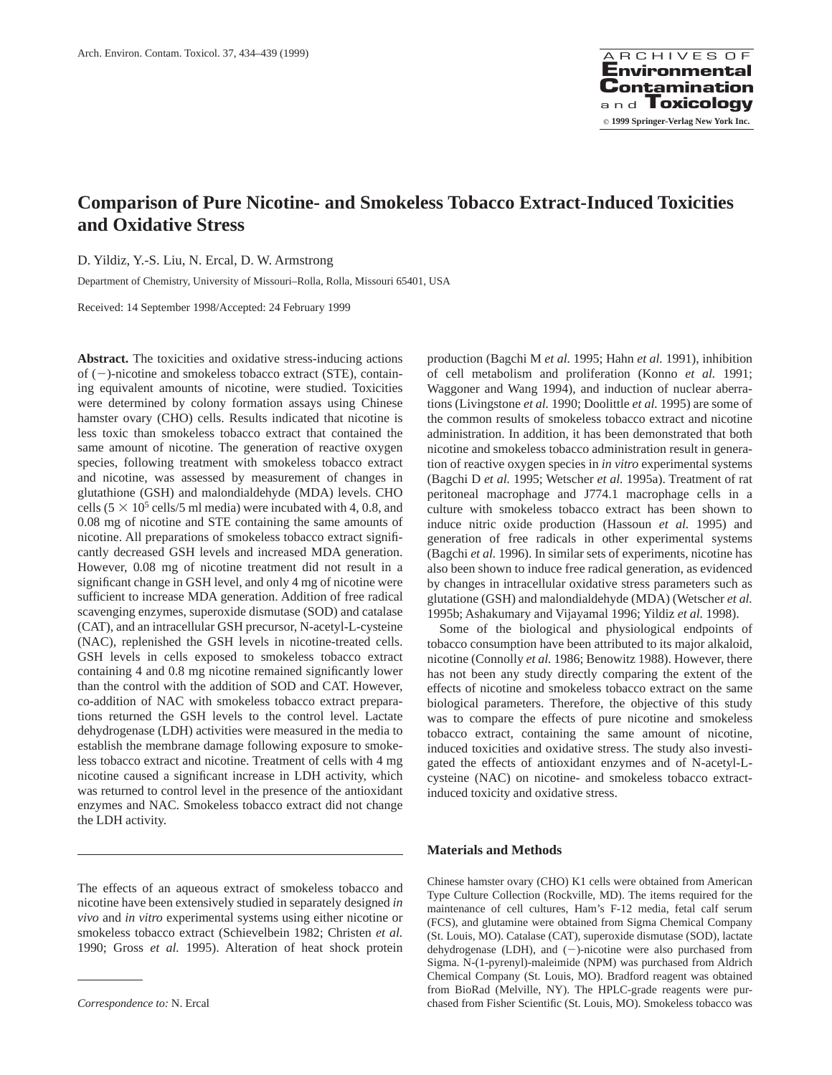# **Comparison of Pure Nicotine- and Smokeless Tobacco Extract-Induced Toxicities and Oxidative Stress**

D. Yildiz, Y.-S. Liu, N. Ercal, D. W. Armstrong

Department of Chemistry, University of Missouri–Rolla, Rolla, Missouri 65401, USA

Received: 14 September 1998/Accepted: 24 February 1999

**Abstract.** The toxicities and oxidative stress-inducing actions of  $(-)$ -nicotine and smokeless tobacco extract (STE), containing equivalent amounts of nicotine, were studied. Toxicities were determined by colony formation assays using Chinese hamster ovary (CHO) cells. Results indicated that nicotine is less toxic than smokeless tobacco extract that contained the same amount of nicotine. The generation of reactive oxygen species, following treatment with smokeless tobacco extract and nicotine, was assessed by measurement of changes in glutathione (GSH) and malondialdehyde (MDA) levels. CHO cells  $(5 \times 10^5 \text{ cells/s m})$  media) were incubated with 4, 0.8, and 0.08 mg of nicotine and STE containing the same amounts of nicotine. All preparations of smokeless tobacco extract significantly decreased GSH levels and increased MDA generation. However, 0.08 mg of nicotine treatment did not result in a significant change in GSH level, and only 4 mg of nicotine were sufficient to increase MDA generation. Addition of free radical scavenging enzymes, superoxide dismutase (SOD) and catalase (CAT), and an intracellular GSH precursor, N-acetyl-L-cysteine (NAC), replenished the GSH levels in nicotine-treated cells. GSH levels in cells exposed to smokeless tobacco extract containing 4 and 0.8 mg nicotine remained significantly lower than the control with the addition of SOD and CAT. However, co-addition of NAC with smokeless tobacco extract preparations returned the GSH levels to the control level. Lactate dehydrogenase (LDH) activities were measured in the media to establish the membrane damage following exposure to smokeless tobacco extract and nicotine. Treatment of cells with 4 mg nicotine caused a significant increase in LDH activity, which was returned to control level in the presence of the antioxidant enzymes and NAC. Smokeless tobacco extract did not change the LDH activity.

The effects of an aqueous extract of smokeless tobacco and nicotine have been extensively studied in separately designed *in vivo* and *in vitro* experimental systems using either nicotine or smokeless tobacco extract (Schievelbein 1982; Christen *et al.* 1990; Gross *et al.* 1995). Alteration of heat shock protein

production (Bagchi M *et al.* 1995; Hahn *et al.* 1991), inhibition of cell metabolism and proliferation (Konno *et al.* 1991; Waggoner and Wang 1994), and induction of nuclear aberrations (Livingstone *et al.* 1990; Doolittle *et al.* 1995) are some of the common results of smokeless tobacco extract and nicotine administration. In addition, it has been demonstrated that both nicotine and smokeless tobacco administration result in generation of reactive oxygen species in *in vitro* experimental systems (Bagchi D *et al.* 1995; Wetscher *et al.* 1995a). Treatment of rat peritoneal macrophage and J774.1 macrophage cells in a culture with smokeless tobacco extract has been shown to induce nitric oxide production (Hassoun *et al.* 1995) and generation of free radicals in other experimental systems (Bagchi *et al.* 1996). In similar sets of experiments, nicotine has also been shown to induce free radical generation, as evidenced by changes in intracellular oxidative stress parameters such as glutatione (GSH) and malondialdehyde (MDA) (Wetscher *et al.* 1995b; Ashakumary and Vijayamal 1996; Yildiz *et al.* 1998).

Some of the biological and physiological endpoints of tobacco consumption have been attributed to its major alkaloid, nicotine (Connolly *et al.* 1986; Benowitz 1988). However, there has not been any study directly comparing the extent of the effects of nicotine and smokeless tobacco extract on the same biological parameters. Therefore, the objective of this study was to compare the effects of pure nicotine and smokeless tobacco extract, containing the same amount of nicotine, induced toxicities and oxidative stress. The study also investigated the effects of antioxidant enzymes and of N-acetyl-Lcysteine (NAC) on nicotine- and smokeless tobacco extractinduced toxicity and oxidative stress.

## **Materials and Methods**

Chinese hamster ovary (CHO) K1 cells were obtained from American Type Culture Collection (Rockville, MD). The items required for the maintenance of cell cultures, Ham's F-12 media, fetal calf serum (FCS), and glutamine were obtained from Sigma Chemical Company (St. Louis, MO). Catalase (CAT), superoxide dismutase (SOD), lactate dehydrogenase (LDH), and  $(-)$ -nicotine were also purchased from Sigma. N-(1-pyrenyl)-maleimide (NPM) was purchased from Aldrich Chemical Company (St. Louis, MO). Bradford reagent was obtained from BioRad (Melville, NY). The HPLC-grade reagents were pur-*Correspondence to:* N. Ercal chased from Fisher Scientific (St. Louis, MO). Smokeless tobacco was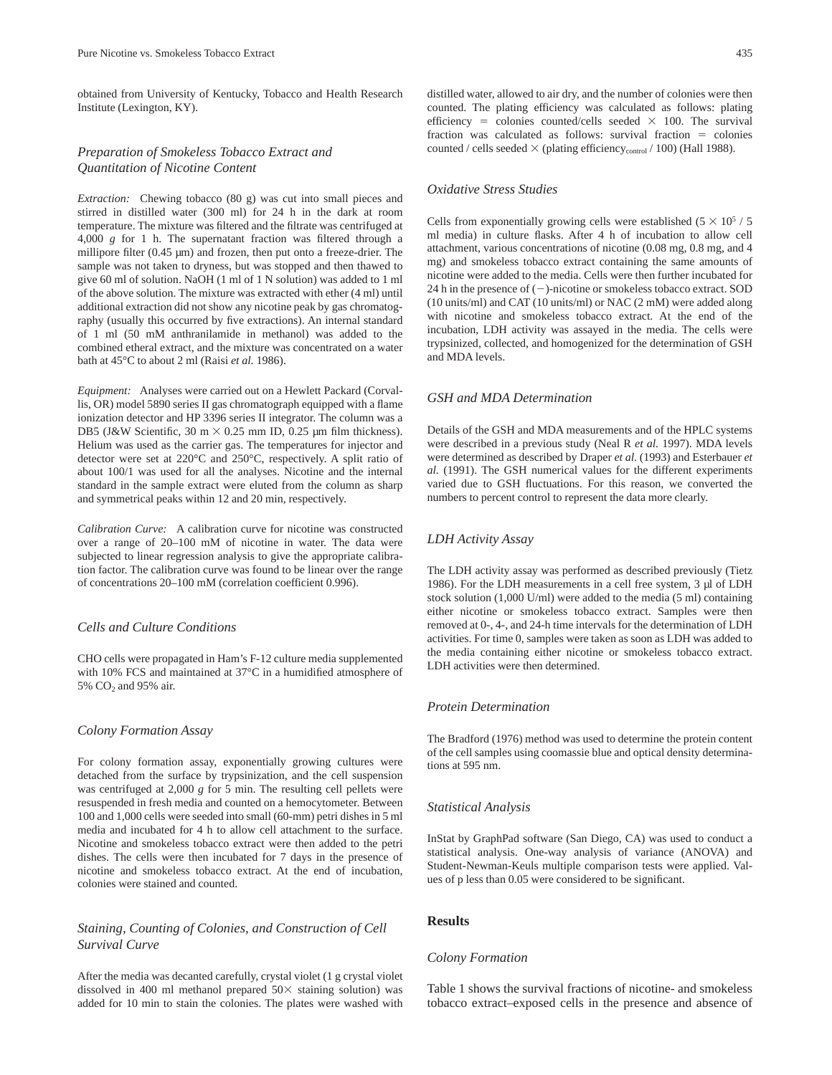obtained from University of Kentucky, Tobacco and Health Research Institute (Lexington, KY).

# *Preparation of Smokeless Tobacco Extract and Quantitation of Nicotine Content*

*Extraction:* Chewing tobacco (80 g) was cut into small pieces and stirred in distilled water (300 ml) for 24 h in the dark at room temperature. The mixture was filtered and the filtrate was centrifuged at 4,000 *g* for 1 h. The supernatant fraction was filtered through a millipore filter (0.45 µm) and frozen, then put onto a freeze-drier. The sample was not taken to dryness, but was stopped and then thawed to give 60 ml of solution. NaOH (1 ml of 1 N solution) was added to 1 ml of the above solution. The mixture was extracted with ether (4 ml) until additional extraction did not show any nicotine peak by gas chromatography (usually this occurred by five extractions). An internal standard of 1 ml (50 mM anthranilamide in methanol) was added to the combined etheral extract, and the mixture was concentrated on a water bath at 45°C to about 2 ml (Raisi *et al.* 1986).

*Equipment:* Analyses were carried out on a Hewlett Packard (Corvallis, OR) model 5890 series II gas chromatograph equipped with a flame ionization detector and HP 3396 series II integrator. The column was a DB5 (J&W Scientific,  $30 \text{ m} \times 0.25 \text{ mm}$  ID, 0.25  $\mu$ m film thickness). Helium was used as the carrier gas. The temperatures for injector and detector were set at 220°C and 250°C, respectively. A split ratio of about 100/1 was used for all the analyses. Nicotine and the internal standard in the sample extract were eluted from the column as sharp and symmetrical peaks within 12 and 20 min, respectively.

*Calibration Curve:* A calibration curve for nicotine was constructed over a range of 20–100 mM of nicotine in water. The data were subjected to linear regression analysis to give the appropriate calibration factor. The calibration curve was found to be linear over the range of concentrations 20–100 mM (correlation coefficient 0.996).

## *Cells and Culture Conditions*

CHO cells were propagated in Ham's F-12 culture media supplemented with 10% FCS and maintained at 37°C in a humidified atmosphere of 5% CO2 and 95% air.

#### *Colony Formation Assay*

For colony formation assay, exponentially growing cultures were detached from the surface by trypsinization, and the cell suspension was centrifuged at 2,000 *g* for 5 min. The resulting cell pellets were resuspended in fresh media and counted on a hemocytometer. Between 100 and 1,000 cells were seeded into small (60-mm) petri dishes in 5 ml media and incubated for 4 h to allow cell attachment to the surface. Nicotine and smokeless tobacco extract were then added to the petri dishes. The cells were then incubated for 7 days in the presence of nicotine and smokeless tobacco extract. At the end of incubation, colonies were stained and counted.

# *Staining, Counting of Colonies, and Construction of Cell Survival Curve*

After the media was decanted carefully, crystal violet (1 g crystal violet dissolved in 400 ml methanol prepared  $50\times$  staining solution) was added for 10 min to stain the colonies. The plates were washed with distilled water, allowed to air dry, and the number of colonies were then counted. The plating efficiency was calculated as follows: plating efficiency = colonies counted/cells seeded  $\times$  100. The survival fraction was calculated as follows: survival fraction  $=$  colonies counted / cells seeded  $\times$  (plating efficiency<sub>control</sub> / 100) (Hall 1988).

## *Oxidative Stress Studies*

Cells from exponentially growing cells were established  $(5 \times 10^5 / 5$ ml media) in culture flasks. After 4 h of incubation to allow cell attachment, various concentrations of nicotine (0.08 mg, 0.8 mg, and 4 mg) and smokeless tobacco extract containing the same amounts of nicotine were added to the media. Cells were then further incubated for 24 h in the presence of  $(-)$ -nicotine or smokeless tobacco extract. SOD (10 units/ml) and CAT (10 units/ml) or NAC (2 mM) were added along with nicotine and smokeless tobacco extract. At the end of the incubation, LDH activity was assayed in the media. The cells were trypsinized, collected, and homogenized for the determination of GSH and MDA levels.

## *GSH and MDA Determination*

Details of the GSH and MDA measurements and of the HPLC systems were described in a previous study (Neal R *et al.* 1997). MDA levels were determined as described by Draper *et al.* (1993) and Esterbauer *et al.* (1991). The GSH numerical values for the different experiments varied due to GSH fluctuations. For this reason, we converted the numbers to percent control to represent the data more clearly.

#### *LDH Activity Assay*

The LDH activity assay was performed as described previously (Tietz 1986). For the LDH measurements in a cell free system, 3 µl of LDH stock solution (1,000 U/ml) were added to the media (5 ml) containing either nicotine or smokeless tobacco extract. Samples were then removed at 0-, 4-, and 24-h time intervals for the determination of LDH activities. For time 0, samples were taken as soon as LDH was added to the media containing either nicotine or smokeless tobacco extract. LDH activities were then determined.

## *Protein Determination*

The Bradford (1976) method was used to determine the protein content of the cell samples using coomassie blue and optical density determinations at 595 nm.

#### *Statistical Analysis*

InStat by GraphPad software (San Diego, CA) was used to conduct a statistical analysis. One-way analysis of variance (ANOVA) and Student-Newman-Keuls multiple comparison tests were applied. Values of p less than 0.05 were considered to be significant.

## **Results**

#### *Colony Formation*

Table 1 shows the survival fractions of nicotine- and smokeless tobacco extract–exposed cells in the presence and absence of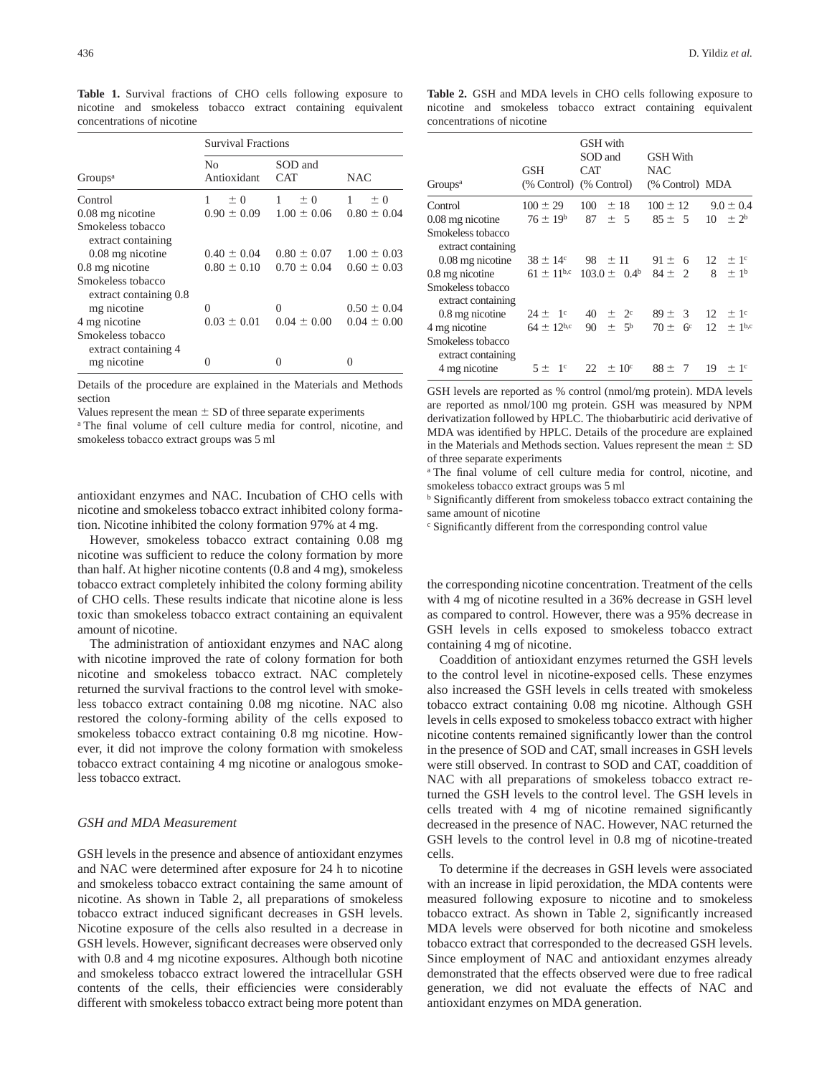| concentrations of incoune                   |                               |                                 |                 |  |  |  |
|---------------------------------------------|-------------------------------|---------------------------------|-----------------|--|--|--|
| Groups <sup>a</sup>                         | <b>Survival Fractions</b>     |                                 |                 |  |  |  |
|                                             | N <sub>0</sub><br>Antioxidant | SOD and<br><b>CAT</b>           | <b>NAC</b>      |  |  |  |
| Control                                     | $\pm 0$                       | $\pm 0$<br>1                    | $\pm 0$         |  |  |  |
| $0.08$ mg nicotine                          |                               | $0.90 \pm 0.09$ $1.00 \pm 0.06$ | $0.80 \pm 0.04$ |  |  |  |
| Smokeless tobacco<br>extract containing     |                               |                                 |                 |  |  |  |
| $0.08$ mg nicotine                          | $0.40 \pm 0.04$               | $0.80 \pm 0.07$                 | $1.00 \pm 0.03$ |  |  |  |
| 0.8 mg nicotine                             | $0.80 \pm 0.10$               | $0.70 \pm 0.04$                 | $0.60 \pm 0.03$ |  |  |  |
| Smokeless tobacco<br>extract containing 0.8 |                               |                                 |                 |  |  |  |

**Table 1.** Survival fractions of CHO cells following exposure to nicotine and smokeless tobacco extract containing equivalent contrations of nicoti

|         |  | Details of the procedure are explained in the Materials and Methods |  |  |  |  |
|---------|--|---------------------------------------------------------------------|--|--|--|--|
| section |  |                                                                     |  |  |  |  |

mg nicotine 0 0.50  $\pm$  0.04 4 mg nicotine  $0.03 \pm 0.01$   $0.04 \pm 0.00$   $0.04 \pm 0.00$ 

Values represent the mean  $\pm$  SD of three separate experiments

mg nicotine 0 0 0 0

<sup>a</sup> The final volume of cell culture media for control, nicotine, and smokeless tobacco extract groups was 5 ml

antioxidant enzymes and NAC. Incubation of CHO cells with nicotine and smokeless tobacco extract inhibited colony formation. Nicotine inhibited the colony formation 97% at 4 mg.

However, smokeless tobacco extract containing 0.08 mg nicotine was sufficient to reduce the colony formation by more than half. At higher nicotine contents (0.8 and 4 mg), smokeless tobacco extract completely inhibited the colony forming ability of CHO cells. These results indicate that nicotine alone is less toxic than smokeless tobacco extract containing an equivalent amount of nicotine.

The administration of antioxidant enzymes and NAC along with nicotine improved the rate of colony formation for both nicotine and smokeless tobacco extract. NAC completely returned the survival fractions to the control level with smokeless tobacco extract containing 0.08 mg nicotine. NAC also restored the colony-forming ability of the cells exposed to smokeless tobacco extract containing 0.8 mg nicotine. However, it did not improve the colony formation with smokeless tobacco extract containing 4 mg nicotine or analogous smokeless tobacco extract.

#### *GSH and MDA Measurement*

GSH levels in the presence and absence of antioxidant enzymes and NAC were determined after exposure for 24 h to nicotine and smokeless tobacco extract containing the same amount of nicotine. As shown in Table 2, all preparations of smokeless tobacco extract induced significant decreases in GSH levels. Nicotine exposure of the cells also resulted in a decrease in GSH levels. However, significant decreases were observed only with 0.8 and 4 mg nicotine exposures. Although both nicotine and smokeless tobacco extract lowered the intracellular GSH contents of the cells, their efficiencies were considerably different with smokeless tobacco extract being more potent than

**Table 2.** GSH and MDA levels in CHO cells following exposure to nicotine and smokeless tobacco extract containing equivalent concentrations of nicotine

| Groups <sup>a</sup>                                           | <b>GSH</b>                 | <b>GSH</b> with<br>SOD and<br><b>CAT</b><br>(% Control) (% Control) | <b>GSH With</b><br>NAC<br>(% Control) MDA |                       |
|---------------------------------------------------------------|----------------------------|---------------------------------------------------------------------|-------------------------------------------|-----------------------|
| Control                                                       | $100 \pm 29$               | 100<br>±18                                                          | $100 \pm 12$                              | $9.0 \pm 0.4$         |
| $0.08$ mg nicotine                                            | $76 \pm 19^{\circ}$        | 87<br>$+$<br>- 5                                                    | $85 \pm 5$                                | $\pm 2^b$<br>10       |
| Smokeless tobacco<br>extract containing<br>$0.08$ mg nicotine | $38 \pm 14^{\circ}$        | 98<br>$\pm$ 11                                                      | $91 \pm$<br>6                             | 12<br>$\pm 1^{\circ}$ |
| 0.8 mg nicotine                                               | $61 \pm 11$ <sup>b,c</sup> | $103.0 \pm 0.4^{\circ}$                                             | $\mathcal{D}_{\mathcal{L}}$<br>$84 \pm$   | $\pm 1^{\rm b}$<br>8  |
| Smokeless tobacco<br>extract containing<br>0.8 mg nicotine    | $24 \pm 1^c$               | 40<br>2 <sup>c</sup><br>$^{+}$                                      | - 3<br>$89 \pm$                           | 12<br>$\pm 1^{\circ}$ |
| 4 mg nicotine                                                 | $64 \pm 12^{6,c}$          | $-5b$<br>90<br>$+$                                                  | $70 \pm$<br>6 <sup>c</sup>                | $+ 1b,c$<br>12        |
| Smokeless tobacco<br>extract containing<br>4 mg nicotine      | 1 <sup>c</sup><br>5±       | 22<br>$\pm 10^{\circ}$                                              | $88 \pm$<br>7                             | 19<br>$\pm 1^{\circ}$ |

GSH levels are reported as % control (nmol/mg protein). MDA levels are reported as nmol/100 mg protein. GSH was measured by NPM derivatization followed by HPLC. The thiobarbutiric acid derivative of MDA was identified by HPLC. Details of the procedure are explained in the Materials and Methods section. Values represent the mean  $\pm$  SD of three separate experiments

<sup>a</sup> The final volume of cell culture media for control, nicotine, and smokeless tobacco extract groups was 5 ml

<sup>b</sup> Significantly different from smokeless tobacco extract containing the same amount of nicotine

<sup>c</sup> Significantly different from the corresponding control value

the corresponding nicotine concentration. Treatment of the cells with 4 mg of nicotine resulted in a 36% decrease in GSH level as compared to control. However, there was a 95% decrease in GSH levels in cells exposed to smokeless tobacco extract containing 4 mg of nicotine.

Coaddition of antioxidant enzymes returned the GSH levels to the control level in nicotine-exposed cells. These enzymes also increased the GSH levels in cells treated with smokeless tobacco extract containing 0.08 mg nicotine. Although GSH levels in cells exposed to smokeless tobacco extract with higher nicotine contents remained significantly lower than the control in the presence of SOD and CAT, small increases in GSH levels were still observed. In contrast to SOD and CAT, coaddition of NAC with all preparations of smokeless tobacco extract returned the GSH levels to the control level. The GSH levels in cells treated with 4 mg of nicotine remained significantly decreased in the presence of NAC. However, NAC returned the GSH levels to the control level in 0.8 mg of nicotine-treated cells.

To determine if the decreases in GSH levels were associated with an increase in lipid peroxidation, the MDA contents were measured following exposure to nicotine and to smokeless tobacco extract. As shown in Table 2, significantly increased MDA levels were observed for both nicotine and smokeless tobacco extract that corresponded to the decreased GSH levels. Since employment of NAC and antioxidant enzymes already demonstrated that the effects observed were due to free radical generation, we did not evaluate the effects of NAC and antioxidant enzymes on MDA generation.

Smokeless tobacco extract containing 4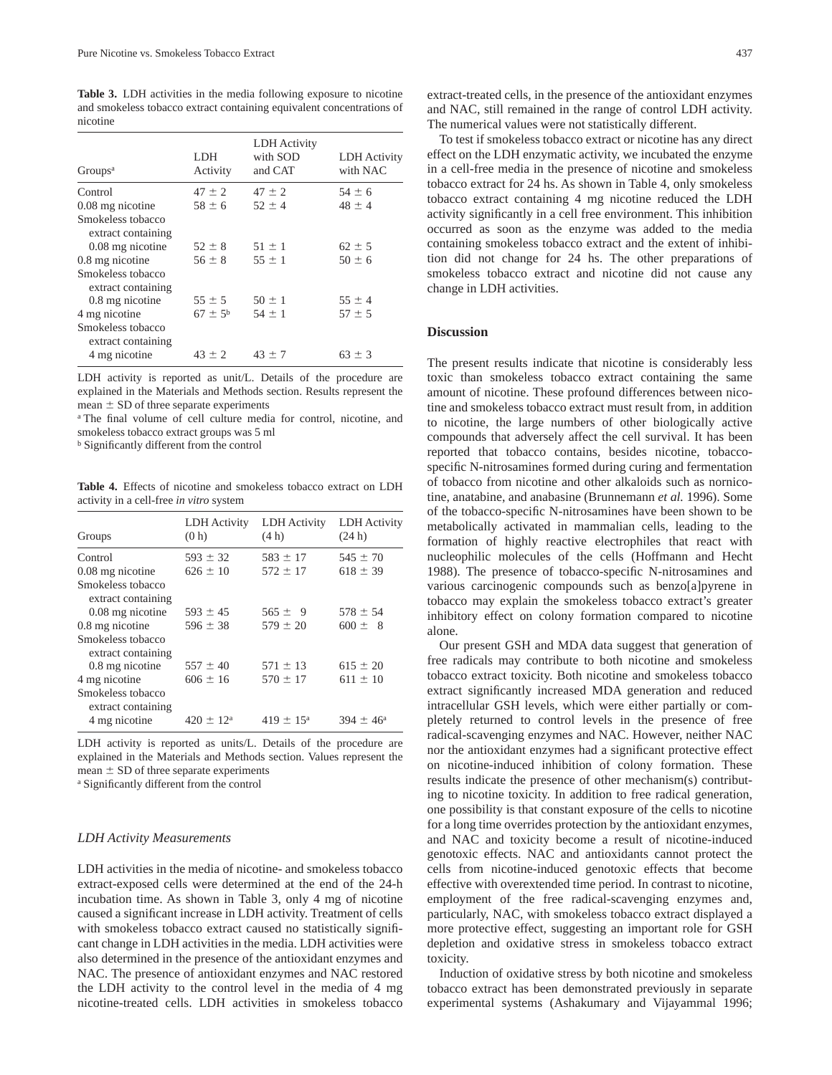**Table 3.** LDH activities in the media following exposure to nicotine and smokeless tobacco extract containing equivalent concentrations of nicotine

| Groups <sup>a</sup>                     | LDH.<br>Activity   | <b>LDH</b> Activity<br>with SOD<br>and CAT | LDH Activity<br>with NAC |
|-----------------------------------------|--------------------|--------------------------------------------|--------------------------|
| Control                                 | $47 \pm 2$         | $47 \pm 2$                                 | $54 \pm 6$               |
| $0.08$ mg nicotine                      | $58 \pm 6$         | $52 \pm 4$                                 | $48 \pm 4$               |
| Smokeless tobacco<br>extract containing |                    |                                            |                          |
| $0.08$ mg nicotine                      | $52 \pm 8$         | $51 \pm 1$                                 | $62 \pm 5$               |
| 0.8 mg nicotine                         | $56 \pm 8$         | $55 \pm 1$                                 | $50 \pm 6$               |
| Smokeless tobacco<br>extract containing |                    |                                            |                          |
| 0.8 mg nicotine                         | $55 \pm 5$         | $50 \pm 1$                                 | $55 \pm 4$               |
| 4 mg nicotine                           | $67 \pm 5^{\rm b}$ | $54 \pm 1$                                 | $57 \pm 5$               |
| Smokeless tobacco<br>extract containing |                    |                                            |                          |
| 4 mg nicotine                           | $43 \pm 2$         | $43 \pm 7$                                 | $63 \pm 3$               |

LDH activity is reported as unit/L. Details of the procedure are explained in the Materials and Methods section. Results represent the mean  $\pm$  SD of three separate experiments

<sup>a</sup> The final volume of cell culture media for control, nicotine, and smokeless tobacco extract groups was 5 ml

**b** Significantly different from the control

**Table 4.** Effects of nicotine and smokeless tobacco extract on LDH activity in a cell-free *in vitro* system

| Groups                                  | <b>LDH</b> Activity<br>(0 h) | LDH Activity<br>(4h) | LDH Activity<br>(24 h) |
|-----------------------------------------|------------------------------|----------------------|------------------------|
| Control                                 | $593 \pm 32$                 | $583 \pm 17$         | $545 \pm 70$           |
| $0.08$ mg nicotine                      | $626 \pm 10$                 | $572 \pm 17$         | $618 \pm 39$           |
| Smokeless tobacco<br>extract containing |                              |                      |                        |
| $0.08$ mg nicotine                      | $593 \pm 45$                 | $565 \pm 9$          | $578 \pm 54$           |
| 0.8 mg nicotine                         | $596 \pm 38$                 | $579 \pm 20$         | $600 \pm 8$            |
| Smokeless tobacco<br>extract containing |                              |                      |                        |
| 0.8 mg nicotine                         | $557 \pm 40$                 | $571 \pm 13$         | $615 \pm 20$           |
| 4 mg nicotine                           | $606 \pm 16$                 | $570 \pm 17$         | $611 \pm 10$           |
| Smokeless tobacco<br>extract containing |                              |                      |                        |
| 4 mg nicotine                           | $420 + 12a$                  | $419 \pm 15^{\circ}$ | $394 + 46^a$           |

LDH activity is reported as units/L. Details of the procedure are explained in the Materials and Methods section. Values represent the mean  $\pm$  SD of three separate experiments

<sup>a</sup> Significantly different from the control

#### *LDH Activity Measurements*

LDH activities in the media of nicotine- and smokeless tobacco extract-exposed cells were determined at the end of the 24-h incubation time. As shown in Table 3, only 4 mg of nicotine caused a significant increase in LDH activity. Treatment of cells with smokeless tobacco extract caused no statistically significant change in LDH activities in the media. LDH activities were also determined in the presence of the antioxidant enzymes and NAC. The presence of antioxidant enzymes and NAC restored the LDH activity to the control level in the media of 4 mg nicotine-treated cells. LDH activities in smokeless tobacco extract-treated cells, in the presence of the antioxidant enzymes and NAC, still remained in the range of control LDH activity. The numerical values were not statistically different.

To test if smokeless tobacco extract or nicotine has any direct effect on the LDH enzymatic activity, we incubated the enzyme in a cell-free media in the presence of nicotine and smokeless tobacco extract for 24 hs. As shown in Table 4, only smokeless tobacco extract containing 4 mg nicotine reduced the LDH activity significantly in a cell free environment. This inhibition occurred as soon as the enzyme was added to the media containing smokeless tobacco extract and the extent of inhibition did not change for 24 hs. The other preparations of smokeless tobacco extract and nicotine did not cause any change in LDH activities.

## **Discussion**

The present results indicate that nicotine is considerably less toxic than smokeless tobacco extract containing the same amount of nicotine. These profound differences between nicotine and smokeless tobacco extract must result from, in addition to nicotine, the large numbers of other biologically active compounds that adversely affect the cell survival. It has been reported that tobacco contains, besides nicotine, tobaccospecific N-nitrosamines formed during curing and fermentation of tobacco from nicotine and other alkaloids such as nornicotine, anatabine, and anabasine (Brunnemann *et al.* 1996). Some of the tobacco-specific N-nitrosamines have been shown to be metabolically activated in mammalian cells, leading to the formation of highly reactive electrophiles that react with nucleophilic molecules of the cells (Hoffmann and Hecht 1988). The presence of tobacco-specific N-nitrosamines and various carcinogenic compounds such as benzo[a]pyrene in tobacco may explain the smokeless tobacco extract's greater inhibitory effect on colony formation compared to nicotine alone.

Our present GSH and MDA data suggest that generation of free radicals may contribute to both nicotine and smokeless tobacco extract toxicity. Both nicotine and smokeless tobacco extract significantly increased MDA generation and reduced intracellular GSH levels, which were either partially or completely returned to control levels in the presence of free radical-scavenging enzymes and NAC. However, neither NAC nor the antioxidant enzymes had a significant protective effect on nicotine-induced inhibition of colony formation. These results indicate the presence of other mechanism(s) contributing to nicotine toxicity. In addition to free radical generation, one possibility is that constant exposure of the cells to nicotine for a long time overrides protection by the antioxidant enzymes, and NAC and toxicity become a result of nicotine-induced genotoxic effects. NAC and antioxidants cannot protect the cells from nicotine-induced genotoxic effects that become effective with overextended time period. In contrast to nicotine, employment of the free radical-scavenging enzymes and, particularly, NAC, with smokeless tobacco extract displayed a more protective effect, suggesting an important role for GSH depletion and oxidative stress in smokeless tobacco extract toxicity.

Induction of oxidative stress by both nicotine and smokeless tobacco extract has been demonstrated previously in separate experimental systems (Ashakumary and Vijayammal 1996;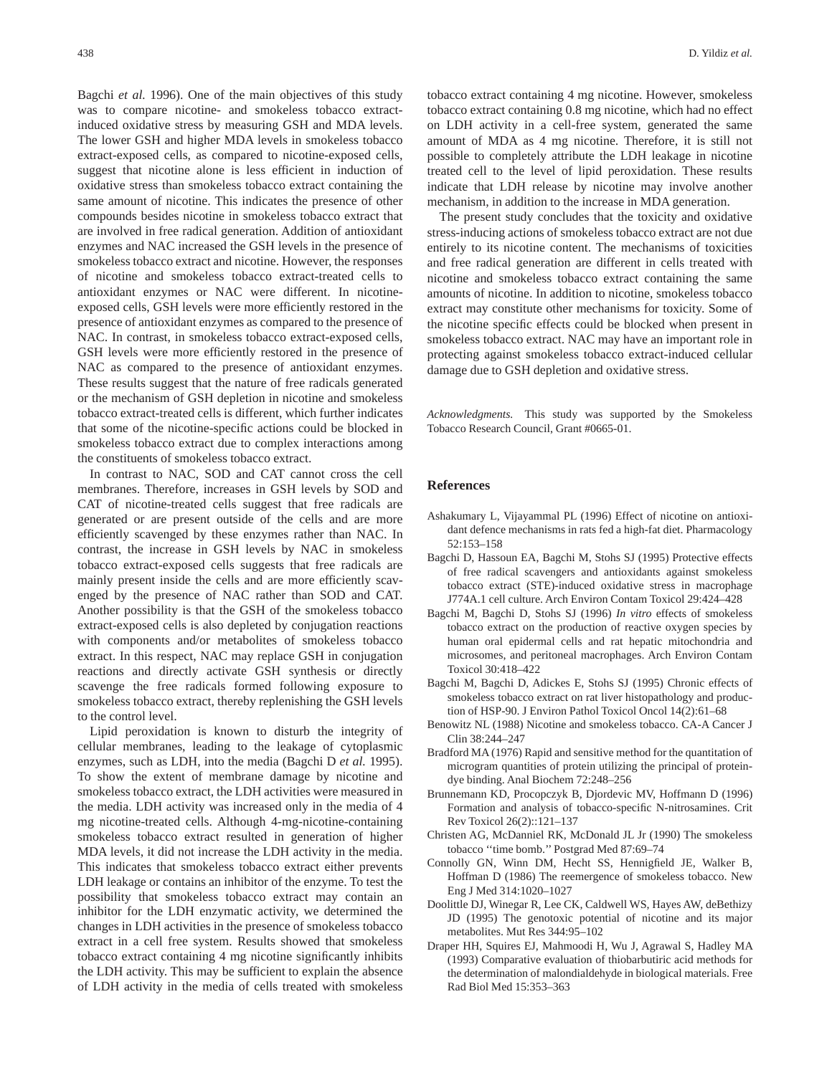Bagchi *et al.* 1996). One of the main objectives of this study was to compare nicotine- and smokeless tobacco extractinduced oxidative stress by measuring GSH and MDA levels. The lower GSH and higher MDA levels in smokeless tobacco extract-exposed cells, as compared to nicotine-exposed cells, suggest that nicotine alone is less efficient in induction of oxidative stress than smokeless tobacco extract containing the same amount of nicotine. This indicates the presence of other compounds besides nicotine in smokeless tobacco extract that are involved in free radical generation. Addition of antioxidant enzymes and NAC increased the GSH levels in the presence of smokeless tobacco extract and nicotine. However, the responses of nicotine and smokeless tobacco extract-treated cells to antioxidant enzymes or NAC were different. In nicotineexposed cells, GSH levels were more efficiently restored in the presence of antioxidant enzymes as compared to the presence of NAC. In contrast, in smokeless tobacco extract-exposed cells, GSH levels were more efficiently restored in the presence of NAC as compared to the presence of antioxidant enzymes. These results suggest that the nature of free radicals generated or the mechanism of GSH depletion in nicotine and smokeless tobacco extract-treated cells is different, which further indicates that some of the nicotine-specific actions could be blocked in smokeless tobacco extract due to complex interactions among the constituents of smokeless tobacco extract.

In contrast to NAC, SOD and CAT cannot cross the cell membranes. Therefore, increases in GSH levels by SOD and CAT of nicotine-treated cells suggest that free radicals are generated or are present outside of the cells and are more efficiently scavenged by these enzymes rather than NAC. In contrast, the increase in GSH levels by NAC in smokeless tobacco extract-exposed cells suggests that free radicals are mainly present inside the cells and are more efficiently scavenged by the presence of NAC rather than SOD and CAT. Another possibility is that the GSH of the smokeless tobacco extract-exposed cells is also depleted by conjugation reactions with components and/or metabolites of smokeless tobacco extract. In this respect, NAC may replace GSH in conjugation reactions and directly activate GSH synthesis or directly scavenge the free radicals formed following exposure to smokeless tobacco extract, thereby replenishing the GSH levels to the control level.

Lipid peroxidation is known to disturb the integrity of cellular membranes, leading to the leakage of cytoplasmic enzymes, such as LDH, into the media (Bagchi D *et al.* 1995). To show the extent of membrane damage by nicotine and smokeless tobacco extract, the LDH activities were measured in the media. LDH activity was increased only in the media of 4 mg nicotine-treated cells. Although 4-mg-nicotine-containing smokeless tobacco extract resulted in generation of higher MDA levels, it did not increase the LDH activity in the media. This indicates that smokeless tobacco extract either prevents LDH leakage or contains an inhibitor of the enzyme. To test the possibility that smokeless tobacco extract may contain an inhibitor for the LDH enzymatic activity, we determined the changes in LDH activities in the presence of smokeless tobacco extract in a cell free system. Results showed that smokeless tobacco extract containing 4 mg nicotine significantly inhibits the LDH activity. This may be sufficient to explain the absence of LDH activity in the media of cells treated with smokeless tobacco extract containing 4 mg nicotine. However, smokeless tobacco extract containing 0.8 mg nicotine, which had no effect on LDH activity in a cell-free system, generated the same amount of MDA as 4 mg nicotine. Therefore, it is still not possible to completely attribute the LDH leakage in nicotine treated cell to the level of lipid peroxidation. These results indicate that LDH release by nicotine may involve another mechanism, in addition to the increase in MDA generation.

The present study concludes that the toxicity and oxidative stress-inducing actions of smokeless tobacco extract are not due entirely to its nicotine content. The mechanisms of toxicities and free radical generation are different in cells treated with nicotine and smokeless tobacco extract containing the same amounts of nicotine. In addition to nicotine, smokeless tobacco extract may constitute other mechanisms for toxicity. Some of the nicotine specific effects could be blocked when present in smokeless tobacco extract. NAC may have an important role in protecting against smokeless tobacco extract-induced cellular damage due to GSH depletion and oxidative stress.

*Acknowledgments.* This study was supported by the Smokeless Tobacco Research Council, Grant #0665-01.

#### **References**

- Ashakumary L, Vijayammal PL (1996) Effect of nicotine on antioxidant defence mechanisms in rats fed a high-fat diet. Pharmacology 52:153–158
- Bagchi D, Hassoun EA, Bagchi M, Stohs SJ (1995) Protective effects of free radical scavengers and antioxidants against smokeless tobacco extract (STE)-induced oxidative stress in macrophage J774A.1 cell culture. Arch Environ Contam Toxicol 29:424–428
- Bagchi M, Bagchi D, Stohs SJ (1996) *In vitro* effects of smokeless tobacco extract on the production of reactive oxygen species by human oral epidermal cells and rat hepatic mitochondria and microsomes, and peritoneal macrophages. Arch Environ Contam Toxicol 30:418–422
- Bagchi M, Bagchi D, Adickes E, Stohs SJ (1995) Chronic effects of smokeless tobacco extract on rat liver histopathology and production of HSP-90. J Environ Pathol Toxicol Oncol 14(2):61–68
- Benowitz NL (1988) Nicotine and smokeless tobacco. CA-A Cancer J Clin 38:244–247
- Bradford MA (1976) Rapid and sensitive method for the quantitation of microgram quantities of protein utilizing the principal of proteindye binding. Anal Biochem 72:248–256
- Brunnemann KD, Procopczyk B, Djordevic MV, Hoffmann D (1996) Formation and analysis of tobacco-specific N-nitrosamines. Crit Rev Toxicol 26(2)::121–137
- Christen AG, McDanniel RK, McDonald JL Jr (1990) The smokeless tobacco ''time bomb.'' Postgrad Med 87:69–74
- Connolly GN, Winn DM, Hecht SS, Hennigfield JE, Walker B, Hoffman D (1986) The reemergence of smokeless tobacco. New Eng J Med 314:1020–1027
- Doolittle DJ, Winegar R, Lee CK, Caldwell WS, Hayes AW, deBethizy JD (1995) The genotoxic potential of nicotine and its major metabolites. Mut Res 344:95–102
- Draper HH, Squires EJ, Mahmoodi H, Wu J, Agrawal S, Hadley MA (1993) Comparative evaluation of thiobarbutiric acid methods for the determination of malondialdehyde in biological materials. Free Rad Biol Med 15:353–363